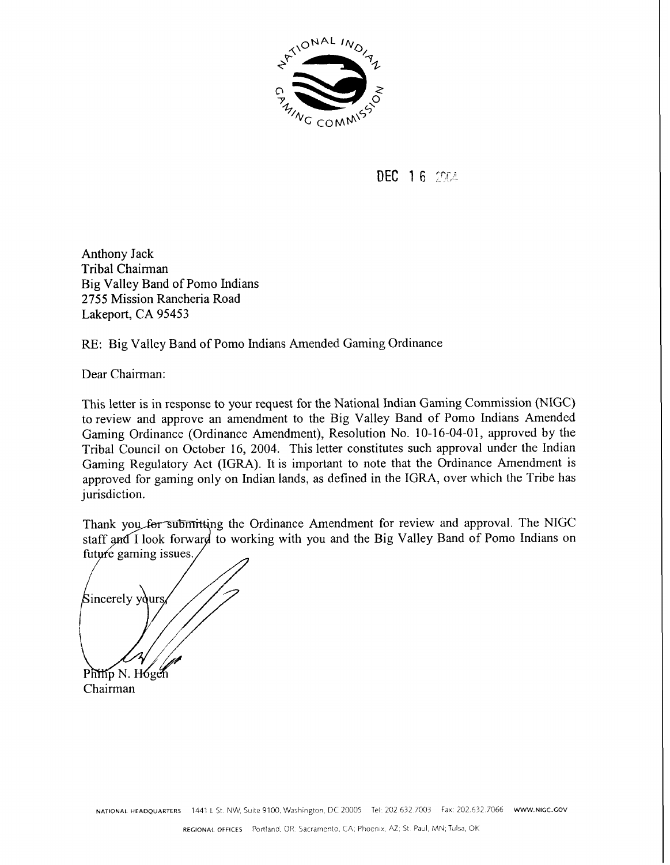

**DEC 16 2004** 

Anthony Jack Tribal Chairman Big Valley Band of Pomo Indians 2755 Mission Rancheria Road Lakeport, CA 95453

RE: Big Valley Band of Pomo Indians Amended Gaming Ordinance

Dear Chairman:

This letter is in response to your request for the National Indian Gaming Commission (NIGC) to review and approve an amendment to the Big Valley Band of Pomo Indians Amended Gaming Ordinance (Ordinance Amendment), Resolution No. 10-16-04-01, approved by the Tribal Council on October 16, 2004. This letter constitutes such approval under the Indian Gaming Regulatory Act (IGRA). It is important to note that the Ordinance Amendment is approved for gaming only on Indian lands, as defined in the IGRA, over which the Tribe has jurisdiction.

Thank you for submitting the Ordinance Amendment for review and approval. The NIGC staff and I look forward to working with you and the Big Valley Band of Pomo Indians on future gaming issues.

Sincerely yours Philip N. Hogen

Chairman

NATIONAL HEADQUARTERS 1441 L St. NW, Suite 9100, Washington, DC 20005 Tel: 202 632.7003 Fax: 202.632.7066 www.nicc.cov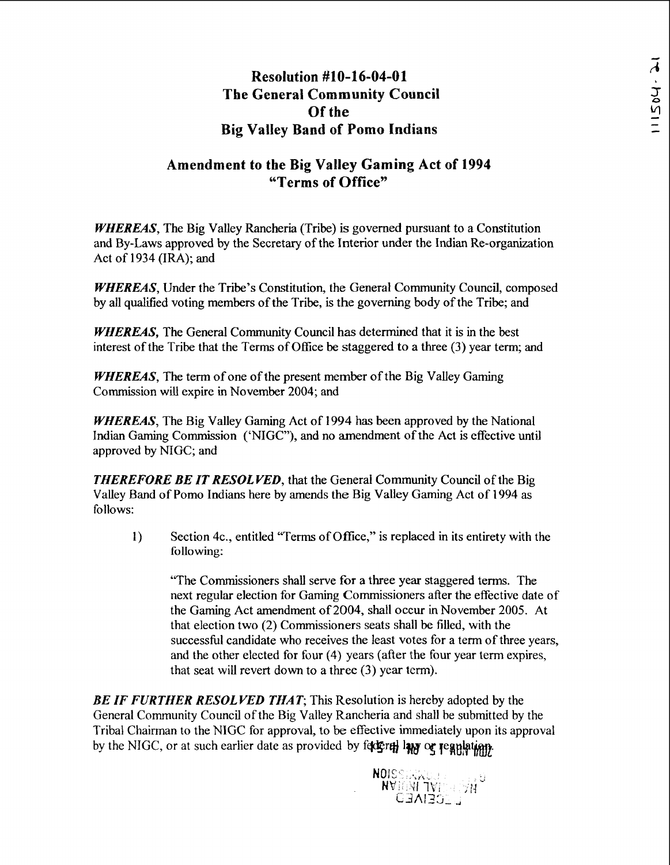## **Resolution #lo-16-04-0 1 The General Community Council Of the Big Valley Band of Pomo Indians**

## **Amendment to the Big Valley Gaming Act of 1994 "Terms of Office"**

WHEREAS, The Big Valley Rancheria (Tribe) is governed pursuant to a Constitution and By-Laws approved by the Secretary of the Interior under the Indian Re-organization Act of 1934 (IRA); and

WHEREAS, Under the Tribe's Constitution, the General Community Council, composed by all qualified voting members of the Tribe, is the governing body of the Tribe; and

WHEREAS, The General Community Council has determined that it is in the best interest of the Tribe that the Terms of Office be staggered to a three **(3)** year term; and

WHEREAS, The term of one of the present member of the Big Valley Gaming Commission **will** expire in November 2004; and

WHEREAS, The Big Valley Gaming Act of 1994 has been approved by the National Indian Gaming Commission ('NIGC"), and no amendment of the Act is effective until approved by NIGC; and

THEREFORE BE IT RESOLVED, that the General Community Council of the Big Valley Band of Pomo Indians here by amends the Big Valley Gaming Act of 1994 as follows:

1) Section 4c., entitled "Terms of Office," is replaced in its entirety with the following:

'The Commissioners shall serve **for** a three year staggered terms. The next regular election for Gaming Commissioners after the effective date of the Gaming Act amendment of 2004, shall occur in November 2005. At that election two (2) Commissioners seats shall be filled, with the successful candidate who receives the least votes for a term of three years, and the other elected for four (4) years (after the four year term expires, that seat will revert down to a three (3) year term).

**BE IF FURTHER RESOLVED THAT;** This Resolution is hereby adopted by the General Community Council of the Big Valley Rancheria and shall be submitted by the Tribal Chairman to the NIGC for approval, to be effective immediately upon its approval by the NIGC, or at such earlier date as provided by feter of law or regulation.